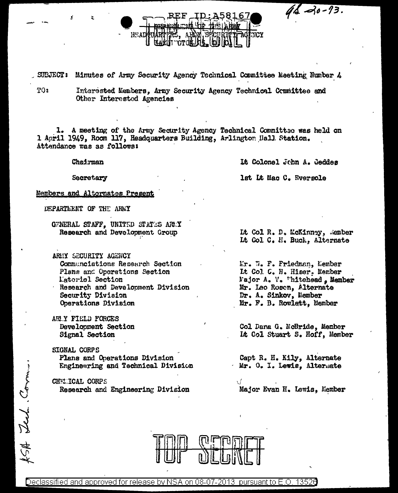$46 - 13.$ 

SUBJECT: Minutes of Army Security Agency Technical Committee Meeting Number 4

**CTOI** 

TO:

ISA Lech Com.

Interested Members, Army Security Agency Technical Committee and Other Interested Agencies

1. A meeting of the Army Security Agency Technical Committee was held on 1 April 1949, Room 117, Headquarters Building, Arlington Hall Station. Attendance was as follows:

Chairman

Secretary

It Colonel John A. Geddes

lst Lt Mac C. Eversole

Members and Alternates Present

DEPARTMENT OF THE ARMY

GENERAL STAFF, UNITED STATES AREY Research and Development Group

нсат

- AREY SECURITY AGENCY Communciations Research Section Plans and Operations Section Latoriel Section Research and Development Division Security Division Operations Division
- ARLY FIELD FORCES Development Section Signal Section

**SIGNAL CORPS** Plans and Onerations Division Engineering and Technical Division

CHEL.ICAL CORPS Research and Engineering Division

Lt Col R. D. McKinney, Member Lt Col C. H. Buck, Alternate

Mr. W. F. Friedman, Member It Col C. H. Hiser. Member Najor A. V. Thitehead, Member Mr. Leo Rosen, Alternate Dr. A. Sinkov, Member Mr. F. B. Rowlett, Member

Col Dana G. McBride, Member It Col Stuart S. Hoff, Member

Capt R. H. Kily, Alternate Mr. O. I. Lewis, Alternate

5 ( Major Evan H. Lewis, Member

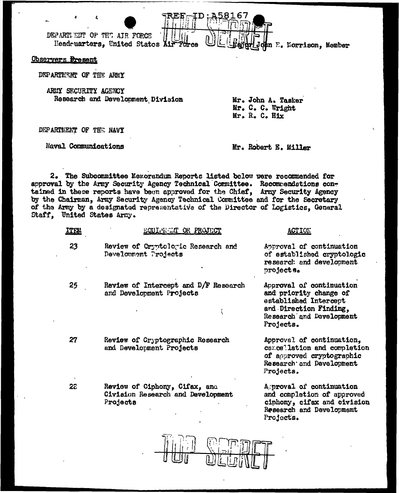DEPARTLENT OF THE AIR FORCE Headquarters, United States Air Force

# Observers Bresent

DEPARTMENT OF THE ARMY

ARMY SECURITY AGENCY Research and Development Division

Mr. John A. Tasker Mr. C. C. Wright Mr. R. C. Hix

n E. Morrison, Member

8167

DEPARTMENT OF THE NAVY

**Naval Communications** 

Mr. Robert E. Miller

Projects.

2. The Subcommittee Memorandum Reports listed below were recommended for approval by the Arry Security Agency Technical Committee. Recommendations contained in these reports have been approved for the Chief, Army Security Agency by the Chairman, Army Security Agency Technical Committee and for the Secretary of the Army by a designated representative of the Director of Logistics, General Staff, United States Army.

| ITEM | EQUITERNIT OR PROJECT                                                          | <b>ACTION</b>                                                                                                                                  |
|------|--------------------------------------------------------------------------------|------------------------------------------------------------------------------------------------------------------------------------------------|
| 23   | Review of Cryptologic Research and<br>Development Projects                     | Approval of continuation<br>of established cryptologic<br>research and development<br>projects.                                                |
| 25   | Review of Intercept and D/F Research<br>and Development Projects               | Approval of continuation<br>and priority change of<br>established Intercept<br>and Direction Finding,<br>Research and Development<br>Projects. |
| 27   | Review of Cryptographic Research<br>and Development Projects                   | Approval of continuation.<br>cancellation and completion<br>of approved cryptographic<br>Research and Development<br>Projects.                 |
| 22   | Review of Ciphony, Cifax, and<br>Civision Research and Development<br>Projects | Aproval of continuation<br>and completion of approved<br>ciphony, cifax and civision<br>Research and Development                               |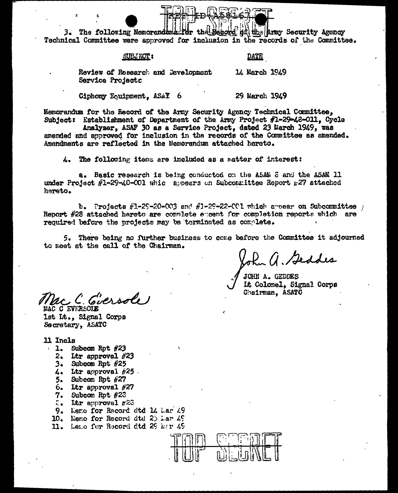3. The following Memorandums for the Record at the Army Security Agency Technical Committee were approved for inclusion in the records of the Committee.

#### **SUBJECT:**

## <u>DATE</u>

14 March 1949

Review of Research and Development Service Projects

Ciphony Equipment. ASAY 6 29 March 1949

Memorandum for the Record of the Army Security Agency Technical Committee. Subject: Establishment of Department of the Army Project #1-29-48-011. Cycle

Analyzer. ASAF 30 as a Service Project. dated 23 March 1949. was amended and approved for inclusion in the records of the Committee as amended. Amendments are reflected in the Memorandum attached hereto.

4. The following items are included as a matter of interest:

a. Basic research is being conducted on the ASAM 8 and the ASAM 11 under Project #1-29-40-001 whic appears on Subcoanittee Report r27 attached hereto.

b. Projects  $\#1-29-20-003$  and  $\#1-29-22-001$  which arear on Subcommittee  $\pm$ Report #28 attached hereto are complete excent for completion reports which are required before the projects may be terminated as complete.

5. There being no further business to come before the Committee it adjourned to meet at the call of the Chairman.

ohn a. Geddes

JOHN A. GEDDES It Colonel. Signal Corps Chairman. ASATC

McC. C. Ciersole MAC C EVERSO

1st It., Signal Corps Secretary, ASATC

- 11 Incls
	- 1. Subcom Rpt  $#23$ 
		- 2. Ltr approval  $#23$
		- $3.$  Subcom Rpt  $#25$
		- $4.$  Itr approval  $#25$ .
		- 5. Subcom Rpt  $#27$
		- $6.$  Ltr approval  $#27$
		- 7. Subcom Rpt #23
		- $z<sub>a</sub>$  litr approval  $\pi$ 23
		- 9. Memo for Record dtd 14 Mar 49
	- 10. Nemo for Record dtd  $25$  har  $45$
	- 11. Leno for Record dtd 29 her 49

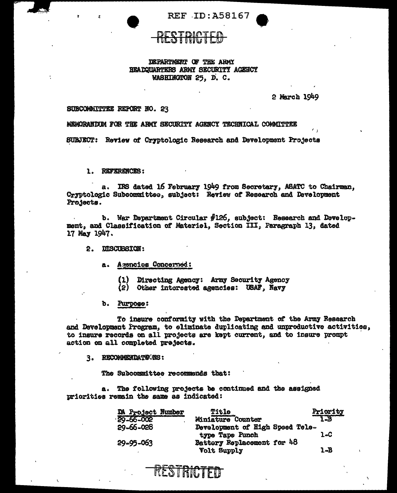**REF ID: A58167** 

## DEPARTMENT OF THE ARMY HEADQUARTERS ARMY SECURITY AGENCY WASHINGTON 25, D.C.

2 March 1949

# SUBCOMMITTEE REPORT NO. 23

MEMORANDUM FOR THE ARMY SECURITY AGENCY TECHNICAL COMMITTEE

SUBJECT: Review of Cryptologic Research and Development Projects

1. REFERENCES:

a. IRS dated 16 February 1949 from Secretary, ASATC to Chairman, Cryptologic Subcommittee, subject: Review of Research and Development Projects.

b. War Department Circular #126, subject: Research and Development, and Classification of Materiel, Section III, Paragraph 13, dated 17 May 1947.

2. DISCUBSION:

a. Agencies Concerned:

(1) Directing Agency: Army Security Agency

(2) Other interested agencies: USAF, Navy

b. Purpose:

To insure conformity with the Department of the Army Research and Development Program, to eliminate duplicating and unproductive activities, to insure records on all projects are kept current, and to insure prompt action on all completed prejects.

3. RECOMMENDATIONS:

The Subcommittee recommends that:

a. The following projects be continued and the assigned priorities remain the same as indicated:

RESTRICTED

| <b>DA Project Number</b> | <b>Title</b>                                       | Priority<br>1-B |
|--------------------------|----------------------------------------------------|-----------------|
| 29-66-002                | Miniature Counter                                  |                 |
| 29-66-028                | Development of High Speed Tele-<br>type Tape Punch | 1.C             |
| 29-95-063                | Battery Replacement for 48<br><b>Volt Supply</b>   | 1-B             |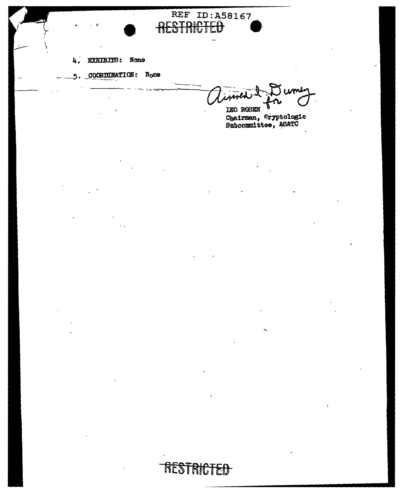

5. COORDINATION: None

Jume

RESTRICTED

**REF ID: A58167** 

TEO ROSEN<br>Chairman, Cryptologic<br>Subcommittee, ASATC

# **RICTED** REST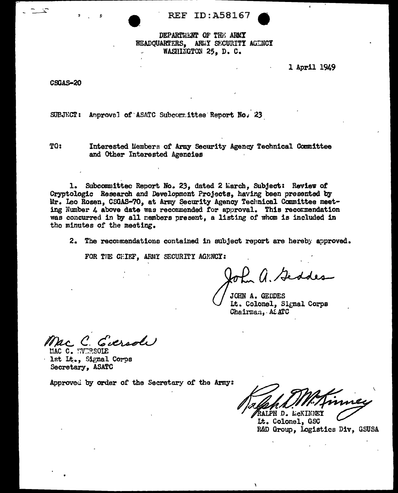**REF ID: A58167** 

DEPARTMENT OF THE ARMY HEADQUARTERS, ARMY SECURITY AGENCY WASHINGTON 25, D. C.

1 April 1949

**CSGAS-20** 

SUBJECT: Anproval of ASATC Subcommittee Report No. 23

TO:

Interested Members of Army Security Agency Technical Committee and Other Interested Agencies

1. Subcommittee Report No. 23, dated 2 March, Subject: Review of Cryptologic Research and Development Projects, having been presented by Mr. Leo Rosen, CSGAS-70, at Army Security Agency Technical Committee meeting Number 4 above date was recommended for approval. This recommendation was concurred in by all nembers present. a listing of whom is included in the minutes of the meeting.

2. The recommendations contained in subject report are hereby approved.

FOR THE CHIEF, ARMY SECURITY AGENCY:

of a. Geodes

JOHN A. GEDDES Lt. Colonel. Signal Corps Chairman. At ATC

C. Eversol

MAC C. HVERSOLE 1st Lt., Signal Corps Secretary, ASATC

RALPH D. LICKINNEY

Lt. Colonel, GSC R&D Group, Logistics Div, GSUSA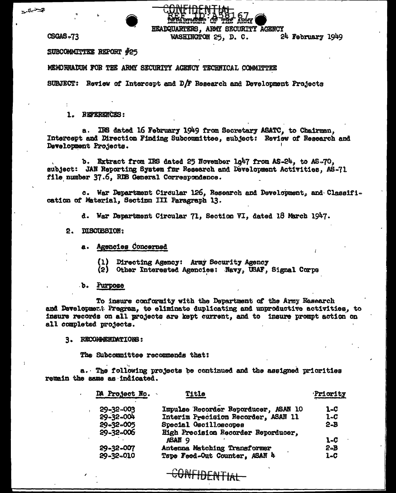فتستعيد



CSGAS-73

SUBCOMMITTEE REPORT #25

MEMORIADUM FOR THE ARMY SECURITY AGENCY TECHNICAL COMMITTEE

SUBJECT: Review of Intercept and D/F Research and Development Projects

1. REFERENCES:

a. IRS dated 16 February 1949 from Secretary ASATC, to Chairman, Intercept and Direction Finding Subcommittee, subject: Review of Research and Development Projects.

HEADQUARTERS, ARMY SECURITY AGENCY

WASHINGTON 25, D. C.

24 February 1949

b. Extract from IRS dated 25 November 1g47 from AS-24, to AS-70, subject: JAN Reporting System for Research and Development Activities, AS-71 file number 37.6, RDB General Correspondence.

c. War Department Circular 126, Research and Development, and Classification of Material, Section III Paragraph 13.

d. War Department Circular 71, Section VI, dated 18 March 1947.

2. DISCUSSION:

a. Agencies Concerned

(1) Directing Agency: Army Security Agency

(2) Other Interested Agencies: Navy, USAF, Signal Corps

b. Purpose

To insure conformity with the Department of the Army Kesearch and Development Program, to eliminate duplicating and unproductive activities, to insure records on all projects are kept current, and to insure prompt action on all completed projects.

3. RECOMMENDATIONS:

The Subcommittee recommends that:

a. The following projects be continued and the assigned priorities remain the same as indicated.

| DA Project No.  | Title                                | Priority |
|-----------------|--------------------------------------|----------|
| $29 - 32 - 003$ | Impulse Recorder Reporducer, ASAN 10 | 1-C      |
| 59-32-004       | Interim Precision Recorder, ASAN 11  | $1 - C$  |
| 29-32-005       | Special Oscilloscopes                | $2 - B$  |
| $29 - 32 - 006$ | High Precision Recorder Reporducer,  |          |
|                 | ASAN 9                               | 1-C      |
| 29-32-007       | Antenna Matching Transformer         | $2 - B$  |
| 29-32-010       | Tape Feed-Out Counter, ASAN &        | 1-C      |
|                 |                                      |          |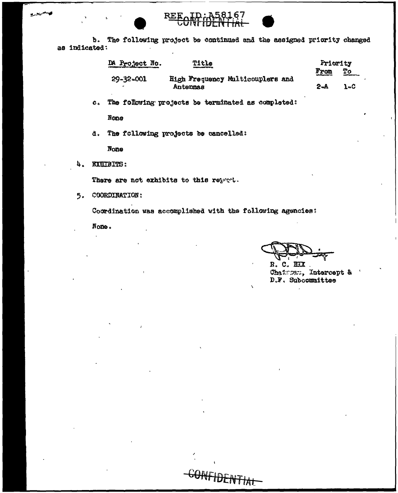REE. **'** ט

b. The following project be continued and the assigned priority changed as indicated:

| DA Project No.  | Title<br><b>CONSULTING THE REAL</b> |                                  |                          | Priority                |  |
|-----------------|-------------------------------------|----------------------------------|--------------------------|-------------------------|--|
| $29 - 32 - 001$ |                                     | High Frequency Multicouplers and | From<br>120100-00100-002 | Tо<br><b>CONTRACTOR</b> |  |
|                 | Antennas                            |                                  | 2-A                      | $1 - C$                 |  |

c. The following projects be terminated as completed:

 $N$ **O**see

d. The following projects be cancelled:

None

4. EXEIBITS:

فسميره

There are not exhibits to this repret.

5. COORDINATION:

Coordination was accomplished with the following agencies:

GONFIDENTIAL

Nome.

R. C. HIX. Chairman, Intercept & D.F. Subcommittee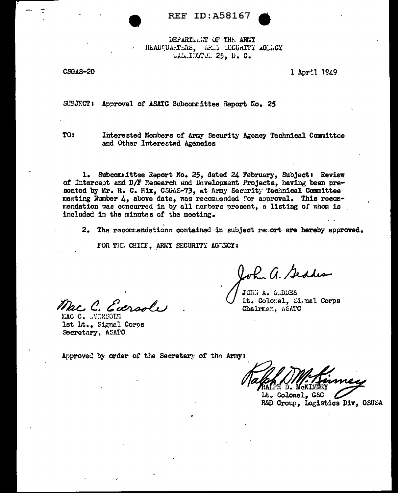**REF ID:A58167** 

DEPARTMENT OF THE ARMY HEADQUARTERS, AREA CLOURITY AGENCY WASHINGTON 25, D. C.

CSGAS-20

1 April 1949

SUBJECT: Approval of ASATC Subcommittee Report No. 25

TO:

Interested Members of Army Security Agency Technical Committee and Other Interested Agencies

1. Subcommittee Report No. 25, dated 24 February, Subject: Review of Intercept and D/F Research and Development Projects, having been presented by Mr. R. C. Hix, CSGAS-73, at Army Security Technical Committee meeting Number 4, above date, was recommended for approval. This recommendation was concurred in by all nembers present, a listing of whom is included in the minutes of the meeting.

2. The recommendations contained in subject report are hereby approved.

FOR THE CHIEF, ARMY SECURITY AGENCY:

Mac C. Eversole

MAC C. WIRSOLE 1st Lt., Signal Corps Secretary, ASATC

John a. Geddes

JOIN A. G.DDES It. Colonel, Signal Corps Chairman, ASATC

Lt. Colonel, GSC R&D Group, Logistics Div, GSUSA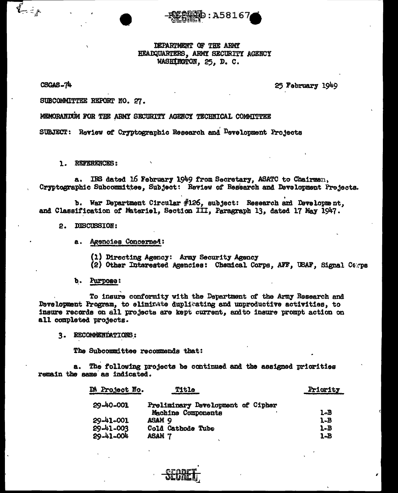DEPARTMENT OF THE ARMY HEADQUARTERS, ARMY SECURITY AGENCY WASHINGTON, 25, D. C.

:A5816

CSGAS-74

 $\overline{\mathbf{r}}_{\mathbf{r}}^{\mathbf{r}}=\mathbf{r}_{\mathbf{r}}^{\mathbf{r}}$ 

25 February 1949

SUBCOMMITTEE REPORT NO. 27.

MEMORANDUM FOR THE ARMY SECURITY AGENCY TECHNICAL COMMITTEE

SUBJECT: Review of Cryptographic Research and Development Projects

1. REFERENCES:

IRS dated 16 February 1949 from Secretary, ASATC to Chairman, a. Cryptographic Subcommittee, Subject: Review of Research and Development Prejects.

b. War Department Circular  $#126$ , subject: Research and Development, and Classification of Materiel, Section III, Paragraph 13, dated 17 May 1947.

#### 2. DISCUSSION:

a. Agencies Concerned:

(1) Directing Agency: Army Security Agency

(2) Other Interested Agencies: Chemical Corps, AFF, USAF, Signal Carps

b. Purpose:

To insure conformity with the Department of the Army Research and Development Program, to elimitate duplicating and unproductive activities, to insure records on all projects are kept current, andto insure prompt action on all completed projects.

3. RECOMMENDATIONS:

The Subcommittee recommends that:

The following projects be continued and the assigned priorities **a.** remain the same as indicated.

| DA Project No. | <b>Title</b>                      | Priority |
|----------------|-----------------------------------|----------|
| 29-40-001      | Preliminary Development of Cipher |          |
|                | Machine Components                | 1-B      |
| 29-41-001      | ASAM <sub>9</sub>                 | $1 - B$  |
| 29-41-003      | Cold Cathode Tube                 | 1-B      |
| 59-41-004      | asam                              | 1-B      |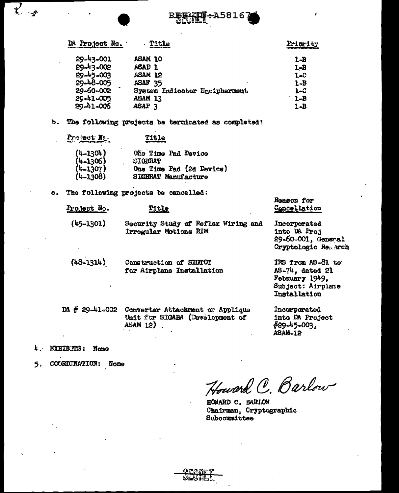

| DA Project No.  | Title                         | Priority |
|-----------------|-------------------------------|----------|
| 29-43-001       | ASAM 10                       | $1 - B$  |
| 29-43-002       | <b>ASAD 1</b>                 | $1 - B$  |
| $29 - 45 - 003$ | ASAM 12                       | 1-C      |
| 29-48-005       | ASAF <sub>35</sub>            | $1 - B$  |
| 29-60-002       | System Indicator Encipherment | $1 - C$  |
| 29-41-005       | ASAM 13                       | $1 - B$  |
| 29-41-006       | ASAP <sub>3</sub>             | 1-B      |

The following projects be terminated as completed:  $\mathbf{b}$ .

| Project Ne.                | Title                                                  |
|----------------------------|--------------------------------------------------------|
| $(4-1304)$<br>$(4-1306)$   | One Time Pad Device<br><b>SIGBRAT</b>                  |
| $(4-1307)$<br>$(4 - 1308)$ | One Time Pad (2d Device)<br><b>SIGERAT Manufacture</b> |

The following projects be cancelled:  $c_{\rm b}$ 

| Project No.   | Title                                                        | Cancellation                                                              |
|---------------|--------------------------------------------------------------|---------------------------------------------------------------------------|
| $(45 - 1301)$ | Security Study of Reflex Wiring and<br>Irregular Motions RIM | Incorporated<br>into DA Proj<br>29-60-001, General<br>Cryptologic Remarch |
| $(48 - 1314)$ | Construction of SIGTOT<br>for Airplane Installation          | IRS from AS-81 to<br>AS-74, dated 21                                      |

DA # 29-41-002 Converter Attachment of Applique Unit for SIGABA (Development of ASAM 12)

Febnuary 1949, Subject: Airplane Installation

Regaon for

Incorporated into DA Project  $#29-45-003.$ ASAM-12

4. EXHIBITS: None

 $\overline{\mathcal{X}}$ 

COURDINATION: Nome 5.

Howard C. Barlow

HOWARD C. BARLOW Chairman, Cryptographic Subcommittee

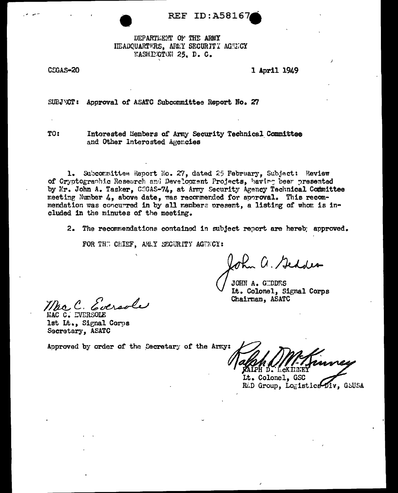REF ID:A58167

DEPARTMENT OF THE ARMY HEADQUARTERS. ARMY SECURITY AGENCY WASHEGTON 25. D. C.

CSGAS-20

1 April 1949

SUBJWCT: Approval of ASATC Subcommittee Report No. 27

TO:

Interested Members of Army Security Technical Committee and Other Interested Agencies

1. Subcommittee Report No. 27, dated 25 February, Subject: Review of Cryptographic Research and Development Projects, having been presented by Mr. John A. Tasker, COGAS-74, at Army Security Agency Technical Committee meeting Number 4, above date, was recommended for approval. This recommendation was concurred in by all members present, a listing of whom is included in the minutes of the meeting.

2. The recommendations contained in subject report are hereb; approved.

FOR THE CHIEF, ARAY SECURITY AGENCY:

John a. Geddes

JOHN A. GIDDES Lt. Colonel, Signal Corps Chairman, ASATC

MAC C. EVERSOLE lst Lt., Signal Corps Secretary, ASATC

RALPH D. L.CKILINE.

Lt. Colonel, GSC RAD Group, Logistics Div, GSUSA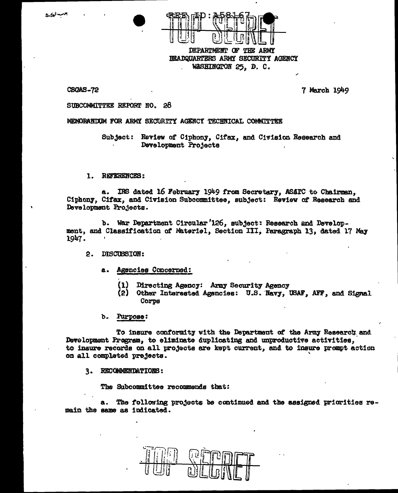



DEPARTMENT OF THE ARMY HEADQUARTERS ARMY SECURITY AGENCY WASHINGTON 25, D. C.

CSCMS-72

7 March 1949

#### SUBCOMMITTEE REPORT NO. 28

MEMORANDUM FOR ARMY SECURITY AGENCY TECHNICAL COMMITTEE

Subject: Review of Ciphony, Cifax, and Civision Research and Development Projects

#### 1. REFERENCES:

IRS dated 16 February 1949 from Secretary, ASATC to Chairman, a. Ciphony, Cifax, and Civision Subcommittee, subject: Review of Research and Development Projects.

b. War Department Circular '126, subject: Research and Development, and Classification of Materiel, Section III, Paragraph 13, dated 17 May 1947.

2. DISCUBSION:

- a. Agencies Concerned:
	- $(1)$ Directing Agency: Army Security Agency
	- (2) Other Interested Agencies: U.S. Navy, USAF, AFF, and Signal Corps
- b. Purpose:

To insure conformity with the Department of the Army Research and Development Program, to eliminate duplicating and unproductive activities. to insure records on all projects are kept current, and to insure prompt action on all completed projects.

3. RECOMMENDATIONS:

The Subcommittee recommends that:

a. The following projects be continued and the assigned priorities remain the same as indicated.

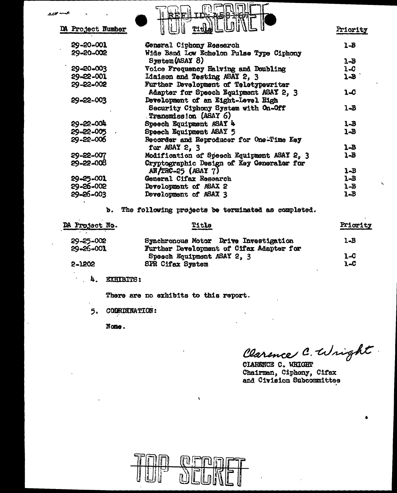| تحمسه محتفظ<br>DA Project Number | A58-HQ71=                                                    | Priority |
|----------------------------------|--------------------------------------------------------------|----------|
| 29-20-001                        | Coneral Ciphony Research                                     | $1 - B$  |
| 29-20-002                        | Wide Band Low Echelon Pulse Type Ciphony                     |          |
|                                  | System (ASAY 8)                                              | $1 - B$  |
| 29-20-003                        | Voice Frequency Halving and Doubling                         | $1 - C$  |
| 29-22-001                        | Liaison and Testing ASAY 2, 3                                | $1 - B$  |
| 29-22-002                        | Further Development of Teletypewriter                        |          |
|                                  | Adapter for Speech Equipment ASAY 2, 3                       | 1.C      |
| 29-22-003                        | Development of an Eight-Level High                           |          |
|                                  | Security Ciphony System with On-Off<br>Transmission (ASAY 6) | $1 - B$  |
| 29-22-004                        | Speech Equipment ASAY 4                                      | $1 - B$  |
| 29-22-005                        | Speech Equipment ASAY 5                                      | 1-B      |
| $29 - 22 - 006$                  | Recorder and Reproducer for One-Time Key                     |          |
|                                  | for ASAY 2, 3                                                | $1 - B$  |
| 29-22-007                        | Modification of Speech Equipment ASAY 2, 3                   | 1-B      |
| 29-22-008                        | Cryptographic Design of Key Generaler for                    |          |
|                                  | $AN/IRC=25$ (ASAY 7)                                         | $1 - B$  |
| 29-25-001                        | General Cifax Research                                       | $1 - B$  |
| 29-26-002                        | Development of ASAX 2                                        | $1 - B$  |
| 29-26-003                        | Development of ASAX 3                                        | 1-B      |
|                                  |                                                              |          |

b. The following projects be terminated as completed.

| DA Project No. | Title<br>وانتق ويحمدهم الترابية          | Priority |
|----------------|------------------------------------------|----------|
| 29-25-002      | Synchronous Motor Drive Investigation    | $1 - B$  |
| 29-26-001      | Further Development of Cifax Adapter for |          |
|                | Speech Equipment ASAY 2, 3               | 1-C      |
| 2-1202         | <b>SPR Cifax System</b>                  | $1 - C$  |

**EXHIBITS:** 4.

There are no exhibits to this report.

**CODRDINATION:** 5.

None.

Clarence C. Wright

CIARENCE C. WRIGHT Chairman, Ciphony, Cifax and Civision Subcommittee



 $\pmb{\chi}$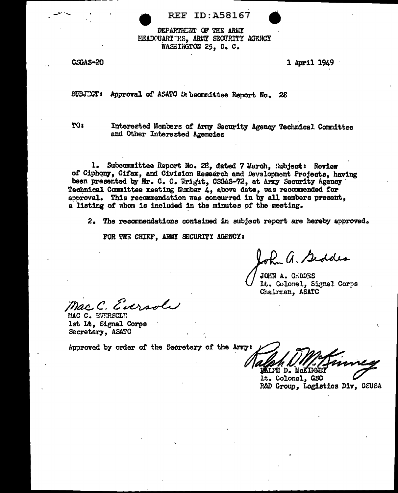

**REF ID:A58167** 



CSGAS-20

1 April 1949

SUBJECT: Approval of ASATC St bsommittee Report No. 28

**TO:** 

Interested Members of Army Security Agency Technical Committee and Other Interested Agencies

1. Subcommittee Report No. 26, dated 7 March, Subject: Review of Ciphony, Cifax, and Civision Research and Development Projects, having been presented by Mr. C. C. Wright, CSGAS-72, at Army Security Agency Technical Committee meeting Number  $\mathcal{L}_1$  above date, was recommended for approval. This recommendation was concurred in by all members present, a listing of whom is included in the minutes of the meeting.

2. The recommendations contained in subject report are hereby approved.

FOR THE CHIEF, ARMY SECURITY AGENCY:

John a. Geddes

JOHN A. GRDDES Lt. Colonel. Signal Corps Chairman, ASATC

Mac.C. Eversoli

MAC C. EVERSOLE 1st Lt. Signal Corps Secretary, ASATC

**DAIPH D. MCKINNEY** 

Lt. Colonel, GSC R&D Group, Logistics Div, GSUSA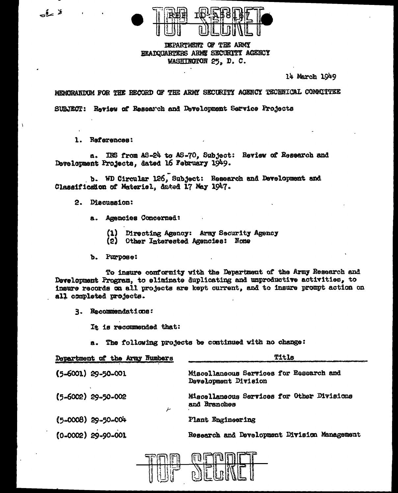

DEPARTMENT OF THE ARMY HEADQUARTERS ARMY SECURITY ACENCY WASHINGTON 25. D. C.

14 March 1949

MEMORANDUM FOR THE RECORD OF THE ARMY SECURITY AGENCY TECHNICAL COMMITTEE SUBJECT: Review of Research and Development Service Projects

1. References:

a. IRS from AS-24 to AS-70, Subject: Review of Research and Development Projects, dated 16 February 1949.

b. WD Circular 126, Subject: Research and Development and Classificaton of Materiel, dated 17 May 1947.

2. Discussion:

- a. Agencies Concerned:
	- (1) Directing Agency: Army Security Agency
	- $(2)$ Other Interested Agencies: Nome
- b. Purpose:

To insure conformity with the Department of the Army Research and Development Program, to eliminate duplicating and unproductive activities, to insure records on all projects are kept current, and to insure prompt action on all completed projects.

3. Recommendations:

It is recommended that:

a. The following projects be continued with no change:

| Title                                                           |  |  |
|-----------------------------------------------------------------|--|--|
| Miscellaneous Services for Research and<br>Development Division |  |  |
| Miscellaneous Services for Other Divisions<br>and Branches      |  |  |
| Plant Engineering                                               |  |  |
| Research and Development Division Management                    |  |  |
|                                                                 |  |  |



فاسأت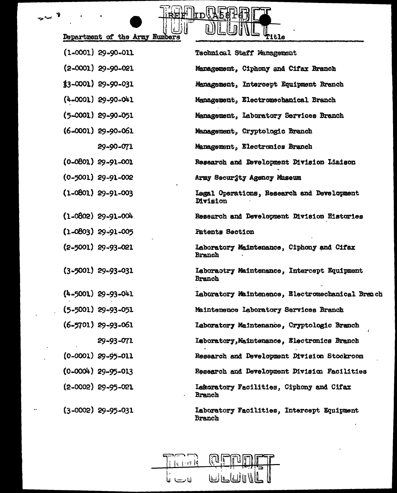| epartment of the Army Numbers |  |  |  |
|-------------------------------|--|--|--|
|                               |  |  |  |

.

 $\rightarrow$ 

 $\ddot{\phantom{a}}$ 

| Department of the Army Numbers | WLUINL <sub>T1tle</sub>                                       |
|--------------------------------|---------------------------------------------------------------|
| $(1-0001)$ 29-90-011           | Technical Staff Management                                    |
| $(2-0001)$ 29-90-021           | Management, Ciphony and Cifax Branch                          |
| $$3-0001$ ) 29-90-031          | Management, Intercept Equipment Branch                        |
| $(4-0001)$ 29-90-041           | Management, Electromechanical Branch                          |
| $(5-0001)$ 29-90-051           | Management, Laboratory Services Branch                        |
| $(6-0001)$ 29-90-061           | Management, Cryptologic Branch                                |
| 29-90-071                      | Management, Electronics Branch                                |
| $(0 - 0801)$ 29-91-001         | Research and Development Division Liaison                     |
| $(0 - 5001)$ 29-91-002         | Army Security Agency Museum                                   |
| $(1 - 0801)$ 29-91-003         | Legal Operations, Research and Development<br><b>Division</b> |
| $(1 - 0802)$ 29-91-004.        | Research and Development Division Histories                   |
| $(1 - 0803)$ 29-91-005         | <b>Patents Section</b>                                        |
| $(2 - 5001)$ 29-93-021         | Laboratory Maintenance, Ciphony and Cifax<br><b>Branch</b>    |
| $(3 - 5001)$ 29-93-031         | Laboractry Maintenance, Intercept Equipment<br>Branch         |
| $(4 - 5001)$ 29-93-041         | Laboratory Maintenence, Electromechanical Breach              |
| $(5 - 5001)$ 29-93-051         | Maintenence Laboratory Services Branch                        |
| $(6-5701)$ 29-93-061           | Laboratory Maintenance, Cryptologic Branch                    |
| 29-93-071                      | Laboratory, Maintenance, Electronics Branch                   |
| $(0-0001)$ 29-95-011           | Research and Development Division Stockroom                   |
| $(0-0004)$ 29-95-013           | Research and Development Division Facilities                  |
| $(2 - 0002)$ 29-95-021         | Lemoratory Facilities, Ciphony and Cifax<br>Branch            |
| $(3-0002)$ 29-95-031           | Laboratory Facilities, Intercept Equipment<br><b>Branch</b>   |

 $\mathbb{H}^{\mathbb{N}}$ l $\mathbb{L}_\mathbf{D}$ 

 $\mathbb{L}$ 

RESPENTI

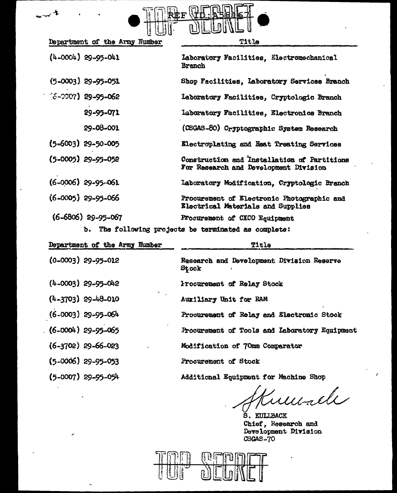

| Department of the Army Number | Title                                                                                |  |  |
|-------------------------------|--------------------------------------------------------------------------------------|--|--|
| $(4-0004)$ 29-95-041          | Laboratory Facilities, Electromechanical<br>Branch                                   |  |  |
| $(5-0003)$ 29-95-051          | Shop Facilities, Laboratory Services Branch                                          |  |  |
| $(6 - 2007)$ 29-95-062        | Laboratory Facilities, Cryptologic Branch                                            |  |  |
| 29-95-071                     | Laboratory Facilities, Electronics Branch                                            |  |  |
| 29-08-001                     | (CSGAS-80) Cryptographic System Research                                             |  |  |
| $(5 - 6003)$ 29-50-005        | Electroplating and Heat Treating Services                                            |  |  |
| $(5 - 0005)$ 29-95-052        | Construction and Installation of Partitions<br>For Research and Development Division |  |  |
| $(6 - 0006)$ 29-95-061        | Laboratory Modification, Cryptologic Branch                                          |  |  |
| $(6 - 0005)$ 29-95-066        | Procurement of Electronic Photographic and<br>Electrical Materials and Supplies      |  |  |
| $(6 - 6806)$ 29-95-067        | Procurement of CXCO Equipment                                                        |  |  |
|                               | b. The following projects be terminated as complete:                                 |  |  |

| $-$ |  |                        |  | and a consumed for flax and and and money changes a complete |       |  |
|-----|--|------------------------|--|--------------------------------------------------------------|-------|--|
|     |  | ent of the Army Numher |  |                                                              | Title |  |

| Department of the Army Number | Title                                              |  |  |  |  |
|-------------------------------|----------------------------------------------------|--|--|--|--|
| $(0-0003)$ 29-95-012          | Research and Development Division Reserve<br>Stock |  |  |  |  |
| $(4-0003)$ 29-95-042          | Procurement of Relay Stock                         |  |  |  |  |
| $(4-3703)$ 29-48-010          | Auxiliary Unit for RAM                             |  |  |  |  |
| $(6 - 0003)$ 29-95-064        | Procurement of Relay and Electronic Stock          |  |  |  |  |
| $(6-0004)$ 29-95-065          | Procurement of Tools and Laboratory Equipment      |  |  |  |  |
| $(6 - 3702)$ 29-66-023        | Modification of 70mm Comparator                    |  |  |  |  |
| $(5 - 0006)$ 29-95-053        | Procurement of Stock                               |  |  |  |  |
| $(5-0007)$ 29-95-054          | Additional Equipment for Machine Shop              |  |  |  |  |
|                               |                                                    |  |  |  |  |

Tumale

S. KULLBACK Chief, Research and<br>Development Division  $CSGAS-70$ 

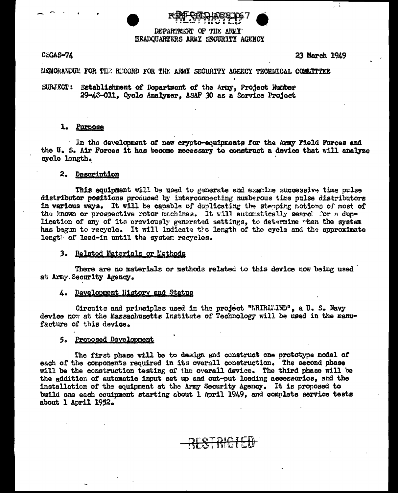

DEPARTMENT OF THE ARMY HEADOUARTERS ARMY SECURITY AGENCY

CSGAS-74

23 March 1949

LEMORANDUM FOR THE RECORD FOR THE ARMY SECURITY AGENCY TECHNICAL COMMITTEE

SURJECT: Establishment of Department of the Army, Project Number 29-43-011. Cycle Analyzer. ASAF 30 as a Service Project

#### 1. Purpose

In the development of new crypto-equipments for the Army Field Forces and the U.S. Air Forces it has become necessary to construct a device that will analyze cycle length.

### 2. Description

This equipment will be used to generate and examine successive time pulse distributor positions produced by interconnecting numberous time pulse distributors in various ways. It will be capable of duplicating the stepping motions of most of the known or prospective rotor machines. It will automatically search for a duplication of any of its previously generated settings, to determine when the system has begun to recycle. It will indicate the length of the cycle and the approximate lengt of lead-in until the system recycles.

3. Related Materials or Methods

There are no materials or methods related to this device now being used at Army Security Agency.

#### 4. Development History and Status

Circuits and principles used in the project "WHIRLU.IND", a U.S. Navy device now at the Massachusetts Institute of Technology will be used in the manufacture of this device.

#### 5. Proposed Development

The first phase will be to design and construct one prototype model of each of the components required in its overall construction. The second phase will be the construction testing of the overall device. The third phase will be the addition of automatic input set up and out-put loading accessories, and the installation of the equipment at the Army Security Agency. It is proposed to build one each ecuipment starting about 1 April 1949, and complete service tests about 1 April 1952.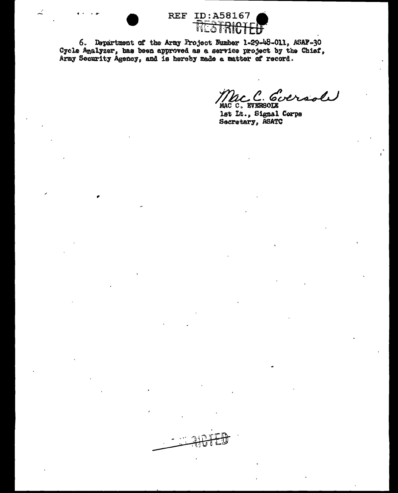



6. Department of the Army Project Number 1-29-48-011, ASAF-30 Cycle Analyzer, has been approved as a service project by the Chief, Army Security Agency, and is hereby made a matter of record.

Mac C. Coversol

lst It., Signal Corps Secretary, ASATC